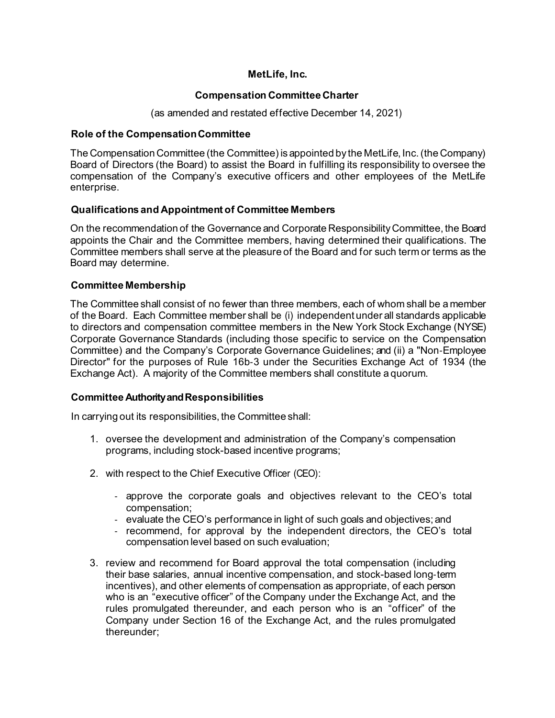## **MetLife, Inc.**

## **Compensation Committee Charter**

(as amended and restated effective December 14, 2021)

### **Role of the CompensationCommittee**

The Compensation Committee (the Committee) is appointed by the MetLife, Inc. (the Company) Board of Directors (the Board) to assist the Board in fulfilling its responsibility to oversee the compensation of the Company's executive officers and other employees of the MetLife enterprise.

## **Qualifications and Appointment of Committee Members**

On the recommendation of the Governance and Corporate Responsibility Committee, the Board appoints the Chair and the Committee members, having determined their qualifications. The Committee members shall serve at the pleasure of the Board and for such term or terms as the Board may determine.

#### **Committee Membership**

The Committee shall consist of no fewer than three members, each of whom shall be a member of the Board. Each Committee member shall be (i) independent under all standards applicable to directors and compensation committee members in the New York Stock Exchange (NYSE) Corporate Governance Standards (including those specific to service on the Compensation Committee) and the Company's Corporate Governance Guidelines; and (ii) a "Non‐Employee Director" for the purposes of Rule 16b‐3 under the Securities Exchange Act of 1934 (the Exchange Act). A majority of the Committee members shall constitute a quorum.

## **Committee Authority and Responsibilities**

In carrying out its responsibilities, the Committee shall:

- 1. oversee the development and administration of the Company's compensation programs, including stock-based incentive programs;
- 2. with respect to the Chief Executive Officer (CEO):
	- approve the corporate goals and objectives relevant to the CEO's total compensation;
	- evaluate the CEO's performance in light of such goals and objectives; and
	- recommend, for approval by the independent directors, the CEO's total compensation level based on such evaluation;
- 3. review and recommend for Board approval the total compensation (including their base salaries, annual incentive compensation, and stock-based long‐term incentives), and other elements of compensation as appropriate, of each person who is an "executive officer" of the Company under the Exchange Act, and the rules promulgated thereunder, and each person who is an "officer" of the Company under Section 16 of the Exchange Act, and the rules promulgated thereunder;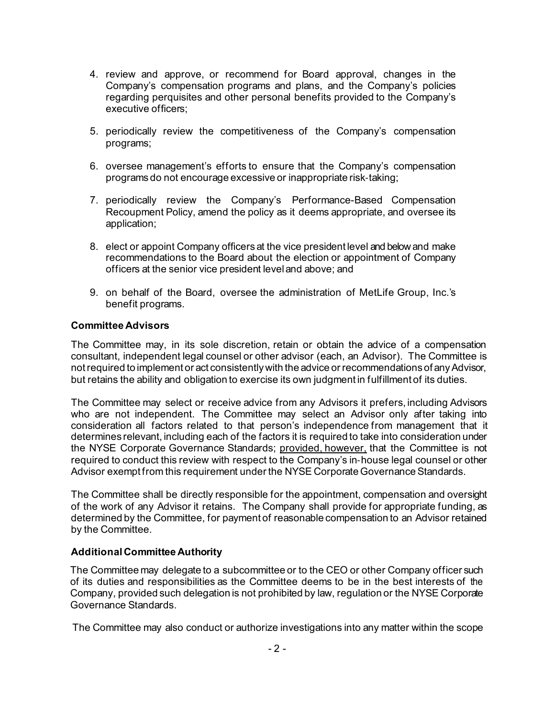- 4. review and approve, or recommend for Board approval, changes in the Company's compensation programs and plans, and the Company's policies regarding perquisites and other personal benefits provided to the Company's executive officers;
- 5. periodically review the competitiveness of the Company's compensation programs;
- 6. oversee management's efforts to ensure that the Company's compensation programs do not encourage excessive or inappropriate risk‐taking;
- 7. periodically review the Company's Performance-Based Compensation Recoupment Policy, amend the policy as it deems appropriate, and oversee its application;
- 8. elect or appoint Company officers at the vice president level and below and make recommendations to the Board about the election or appointment of Company officers at the senior vice president leveland above; and
- 9. on behalf of the Board, oversee the administration of MetLife Group, Inc.'s benefit programs.

#### **Committee Advisors**

The Committee may, in its sole discretion, retain or obtain the advice of a compensation consultant, independent legal counsel or other advisor (each, an Advisor). The Committee is not required to implement or act consistently with the advice or recommendations of any Advisor, but retains the ability and obligation to exercise its own judgment in fulfillment of its duties.

The Committee may select or receive advice from any Advisors it prefers, including Advisors who are not independent. The Committee may select an Advisor only after taking into consideration all factors related to that person's independence from management that it determines relevant, including each of the factors it is required to take into consideration under the NYSE Corporate Governance Standards; provided, however, that the Committee is not required to conduct this review with respect to the Company's in‐house legal counsel or other Advisor exempt from this requirement under the NYSE Corporate Governance Standards.

The Committee shall be directly responsible for the appointment, compensation and oversight of the work of any Advisor it retains. The Company shall provide for appropriate funding, as determined by the Committee, for payment of reasonable compensation to an Advisor retained by the Committee.

## **Additional Committee Authority**

The Committee may delegate to a subcommittee or to the CEO or other Company officer such of its duties and responsibilities as the Committee deems to be in the best interests of the Company, provided such delegation is not prohibited by law, regulation or the NYSE Corporate Governance Standards.

The Committee may also conduct or authorize investigations into any matter within the scope